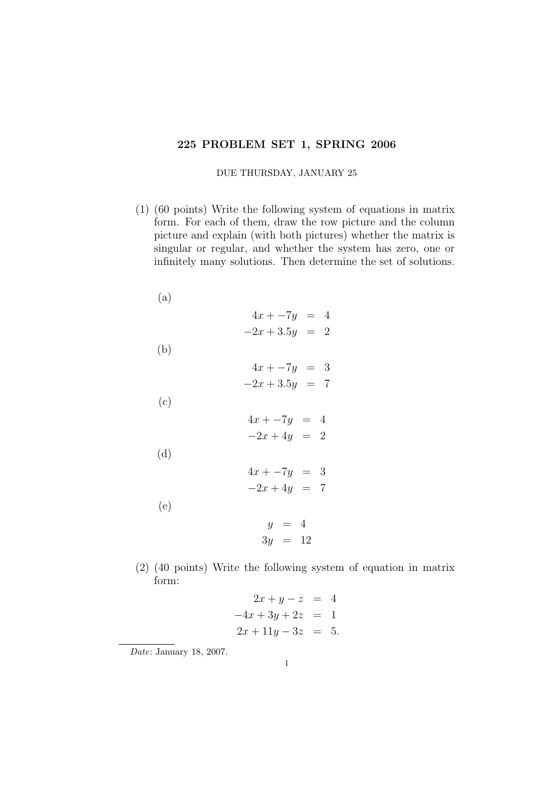## 225 PROBLEM SET 1, SPRING 2006

## DUE THURSDAY, JANUARY 25

(1) (60 points) Write the following system of equations in matrix form. For each of them, draw the row picture and the column picture and explain (with both pictures) whether the matrix is singular or regular, and whether the system has zero, one or infinitely many solutions. Then determine the set of solutions.

| (a) |                  |
|-----|------------------|
|     | $4x + -7y = 4$   |
|     | $-2x + 3.5y = 2$ |
| (b) |                  |
|     | $4x - 7y = 3$    |
|     | $-2x + 3.5y = 7$ |
| (c) |                  |
|     | $4x - 7y = 4$    |
|     | $-2x+4y = 2$     |
| (d) |                  |
|     | $4x - 7y = 3$    |
|     | $-2x+4y = 7$     |
| (e) |                  |
|     | $y = 4$          |
|     | $3y = 12$        |

- (2) (40 points) Write the following system of equation in matrix form:
	- $2x + y z = 4$  $-4x + 3y + 2z = 1$  $2x + 11y - 3z = 5.$

Date: January 18, 2007.